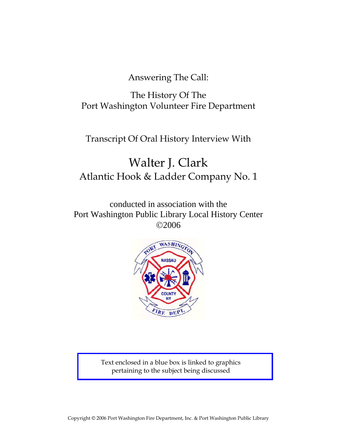Answering The Call:

The History Of The Port Washington Volunteer Fire Department

Transcript Of Oral History Interview With

# Walter J. Clark Atlantic Hook & Ladder Company No. 1

conducted in association with the Port Washington Public Library Local History Center ©2006



Text enclosed in a blue box is linked to graphics pertaining to the subject being discussed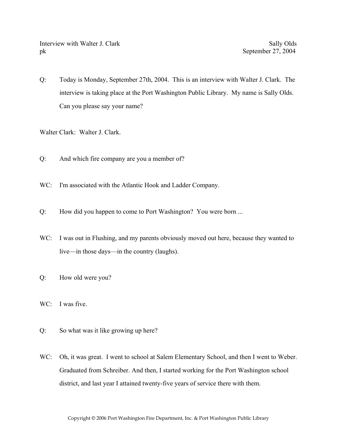Interview with Walter J. Clark Sally Olds Sally Olds pk September 27, 2004

Q: Today is Monday, September 27th, 2004. This is an interview with Walter J. Clark. The interview is taking place at the Port Washington Public Library. My name is Sally Olds. Can you please say your name?

Walter Clark: Walter J. Clark.

- Q: And which fire company are you a member of?
- WC: I'm associated with the Atlantic Hook and Ladder Company.
- Q: How did you happen to come to Port Washington? You were born ...
- WC: I was out in Flushing, and my parents obviously moved out here, because they wanted to live—in those days—in the country (laughs).
- Q: How old were you?
- WC: I was five.
- Q: So what was it like growing up here?
- WC: Oh, it was great. I went to school at Salem Elementary School, and then I went to Weber. Graduated from Schreiber. And then, I started working for the Port Washington school district, and last year I attained twenty-five years of service there with them.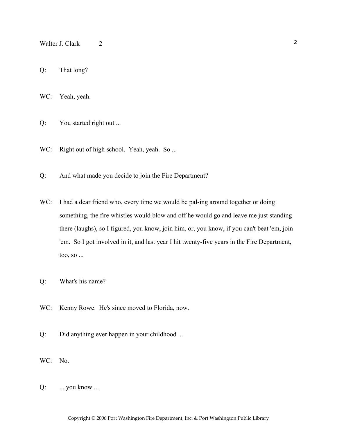- Walter J. Clark 2 2
- Q: That long?
- WC: Yeah, yeah.
- Q: You started right out ...
- WC: Right out of high school. Yeah, yeah. So ...
- Q: And what made you decide to join the Fire Department?
- WC: I had a dear friend who, every time we would be pal-ing around together or doing something, the fire whistles would blow and off he would go and leave me just standing there (laughs), so I figured, you know, join him, or, you know, if you can't beat 'em, join 'em. So I got involved in it, and last year I hit twenty-five years in the Fire Department, too, so ...
- Q: What's his name?
- WC: Kenny Rowe. He's since moved to Florida, now.
- Q: Did anything ever happen in your childhood ...
- WC: No.
- Q: ... you know ...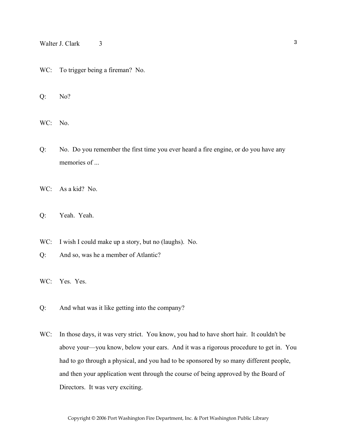## Walter J. Clark 3

WC: To trigger being a fireman? No.

Q: No?

WC: No.

- Q: No. Do you remember the first time you ever heard a fire engine, or do you have any memories of ...
- WC: As a kid? No.
- Q: Yeah. Yeah.
- WC: I wish I could make up a story, but no (laughs). No.
- Q: And so, was he a member of Atlantic?
- WC: Yes. Yes.
- Q: And what was it like getting into the company?
- WC: In those days, it was very strict. You know, you had to have short hair. It couldn't be above your—you know, below your ears. And it was a rigorous procedure to get in. You had to go through a physical, and you had to be sponsored by so many different people, and then your application went through the course of being approved by the Board of Directors. It was very exciting.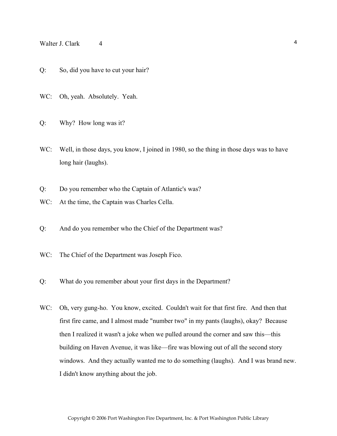## Walter J. Clark  $4 \frac{4}{3}$

- Q: So, did you have to cut your hair?
- WC: Oh, yeah. Absolutely. Yeah.
- Q: Why? How long was it?
- WC: Well, in those days, you know, I joined in 1980, so the thing in those days was to have long hair (laughs).
- Q: Do you remember who the Captain of Atlantic's was?
- WC: At the time, the Captain was Charles Cella.
- Q: And do you remember who the Chief of the Department was?
- WC: The Chief of the Department was Joseph Fico.
- Q: What do you remember about your first days in the Department?
- WC: Oh, very gung-ho. You know, excited. Couldn't wait for that first fire. And then that first fire came, and I almost made "number two" in my pants (laughs), okay? Because then I realized it wasn't a joke when we pulled around the corner and saw this—this building on Haven Avenue, it was like—fire was blowing out of all the second story windows. And they actually wanted me to do something (laughs). And I was brand new. I didn't know anything about the job.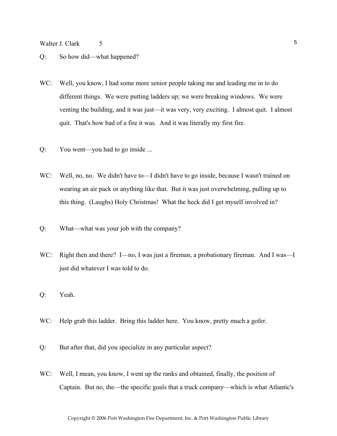Walter J. Clark 5 5

- Q: So how did—what happened?
- WC: Well, you know, I had some more senior people taking me and leading me in to do different things. We were putting ladders up; we were breaking windows. We were venting the building, and it was just—it was very, very exciting. I almost quit. I almost quit. That's how bad of a fire it was. And it was literally my first fire.
- Q: You went—you had to go inside ...
- WC: Well, no, no. We didn't have to—I didn't have to go inside, because I wasn't trained on wearing an air pack or anything like that. But it was just overwhelming, pulling up to this thing. (Laughs) Holy Christmas! What the heck did I get myself involved in?
- Q: What—what was your job with the company?
- WC: Right then and there? I—no, I was just a fireman, a probationary fireman. And I was—I just did whatever I was told to do.
- Q: Yeah.
- WC: Help grab this ladder. Bring this ladder here. You know, pretty much a gofer.
- Q: But after that, did you specialize in any particular aspect?
- WC: Well, I mean, you know, I went up the ranks and obtained, finally, the position of Captain. But no, the—the specific goals that a truck company—which is what Atlantic's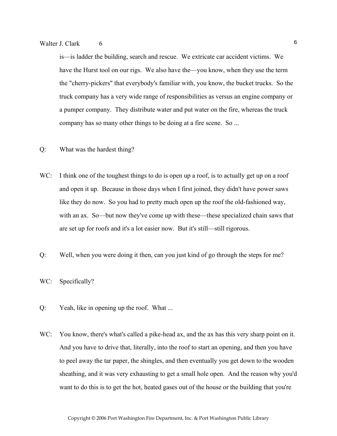is—is ladder the building, search and rescue. We extricate car accident victims. We have the Hurst tool on our rigs. We also have the—you know, when they use the term the "cherry-pickers" that everybody's familiar with, you know, the bucket trucks. So the truck company has a very wide range of responsibilities as versus an engine company or a pumper company. They distribute water and put water on the fire, whereas the truck company has so many other things to be doing at a fire scene. So ...

- Q: What was the hardest thing?
- WC: I think one of the toughest things to do is open up a roof, is to actually get up on a roof and open it up. Because in those days when I first joined, they didn't have power saws like they do now. So you had to pretty much open up the roof the old-fashioned way, with an ax. So—but now they've come up with these—these specialized chain saws that are set up for roofs and it's a lot easier now. But it's still—still rigorous.
- Q: Well, when you were doing it then, can you just kind of go through the steps for me?
- WC: Specifically?
- Q: Yeah, like in opening up the roof. What ...
- WC: You know, there's what's called a pike-head ax, and the ax has this very sharp point on it. And you have to drive that, literally, into the roof to start an opening, and then you have to peel away the tar paper, the shingles, and then eventually you get down to the wooden sheathing, and it was very exhausting to get a small hole open. And the reason why you'd want to do this is to get the hot, heated gases out of the house or the building that you're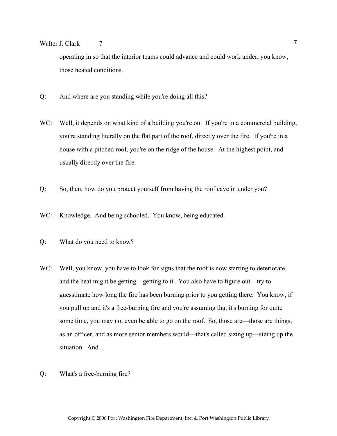## Walter J. Clark  $\frac{7}{7}$

operating in so that the interior teams could advance and could work under, you know, those heated conditions.

- Q: And where are you standing while you're doing all this?
- WC: Well, it depends on what kind of a building you're on. If you're in a commercial building, you're standing literally on the flat part of the roof, directly over the fire. If you're in a house with a pitched roof, you're on the ridge of the house. At the highest point, and usually directly over the fire.
- Q: So, then, how do you protect yourself from having the roof cave in under you?
- WC: Knowledge. And being schooled. You know, being educated.
- Q: What do you need to know?
- WC: Well, you know, you have to look for signs that the roof is now starting to deteriorate, and the heat might be getting—getting to it. You also have to figure out—try to guesstimate how long the fire has been burning prior to you getting there. You know, if you pull up and it's a free-burning fire and you're assuming that it's burning for quite some time, you may not even be able to go on the roof. So, those are—those are things, as an officer, and as more senior members would—that's called sizing up—sizing up the situation. And ...
- Q: What's a free-burning fire?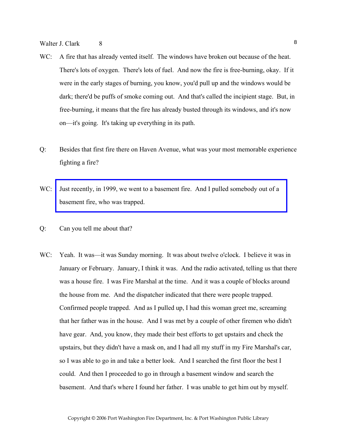- WC: A fire that has already vented itself. The windows have broken out because of the heat. There's lots of oxygen. There's lots of fuel. And now the fire is free-burning, okay. If it were in the early stages of burning, you know, you'd pull up and the windows would be dark; there'd be puffs of smoke coming out. And that's called the incipient stage. But, in free-burning, it means that the fire has already busted through its windows, and it's now on—it's going. It's taking up everything in its path.
- Q: Besides that first fire there on Haven Avenue, what was your most memorable experience fighting a fire?
- WC: Just recently, in 1999, we went to a basement fire. And I pulled somebody out of a basement fire, who was trapped.
- Q: Can you tell me about that?
- WC: Yeah. It was—it was Sunday morning. It was about twelve o'clock. I believe it was in January or February. January, I think it was. And the radio activated, telling us that there was a house fire. I was Fire Marshal at the time. And it was a couple of blocks around the house from me. And the dispatcher indicated that there were people trapped. Confirmed people trapped. And as I pulled up, I had this woman greet me, screaming that her father was in the house. And I was met by a couple of other firemen who didn't have gear. And, you know, they made their best efforts to get upstairs and check the upstairs, but they didn't have a mask on, and I had all my stuff in my Fire Marshal's car, so I was able to go in and take a better look. And I searched the first floor the best I could. And then I proceeded to go in through a basement window and search the basement. And that's where I found her father. I was unable to get him out by myself.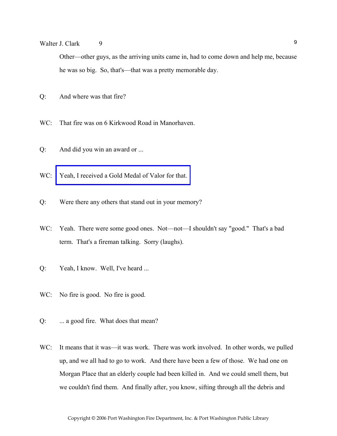Walter J. Clark 9

Other—other guys, as the arriving units came in, had to come down and help me, because he was so big. So, that's—that was a pretty memorable day.

- Q: And where was that fire?
- WC: That fire was on 6 Kirkwood Road in Manorhaven.
- Q: And did you win an award or ...
- WC: Yeah, I received a Gold Medal of Valor for that.
- Q: Were there any others that stand out in your memory?
- WC: Yeah. There were some good ones. Not—not—I shouldn't say "good." That's a bad term. That's a fireman talking. Sorry (laughs).
- Q: Yeah, I know. Well, I've heard ...
- WC: No fire is good. No fire is good.
- Q: ... a good fire. What does that mean?
- WC: It means that it was—it was work. There was work involved. In other words, we pulled up, and we all had to go to work. And there have been a few of those. We had one on Morgan Place that an elderly couple had been killed in. And we could smell them, but we couldn't find them. And finally after, you know, sifting through all the debris and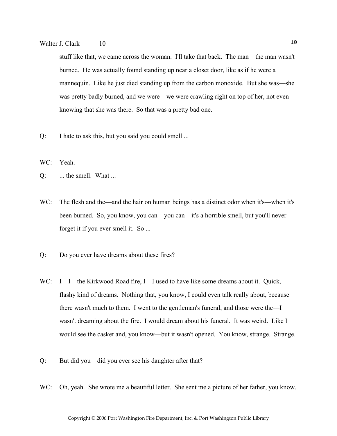## Walter J. Clark 10 10

stuff like that, we came across the woman. I'll take that back. The man—the man wasn't burned. He was actually found standing up near a closet door, like as if he were a mannequin. Like he just died standing up from the carbon monoxide. But she was—she was pretty badly burned, and we were—we were crawling right on top of her, not even knowing that she was there. So that was a pretty bad one.

Q: I hate to ask this, but you said you could smell ...

WC: Yeah.

- Q: ... the smell. What ...
- WC: The flesh and the—and the hair on human beings has a distinct odor when it's—when it's been burned. So, you know, you can—you can—it's a horrible smell, but you'll never forget it if you ever smell it. So ...
- Q: Do you ever have dreams about these fires?
- WC: I—I—the Kirkwood Road fire, I—I used to have like some dreams about it. Quick, flashy kind of dreams. Nothing that, you know, I could even talk really about, because there wasn't much to them. I went to the gentleman's funeral, and those were the—I wasn't dreaming about the fire. I would dream about his funeral. It was weird. Like I would see the casket and, you know—but it wasn't opened. You know, strange. Strange.
- Q: But did you—did you ever see his daughter after that?
- WC: Oh, yeah. She wrote me a beautiful letter. She sent me a picture of her father, you know.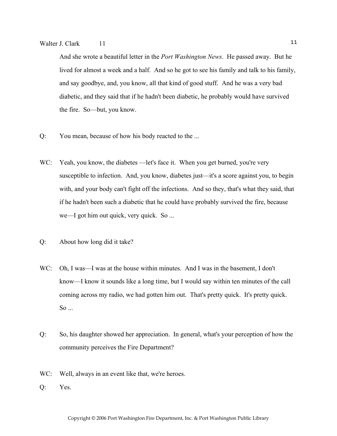And she wrote a beautiful letter in the *Port Washington News*. He passed away. But he lived for almost a week and a half. And so he got to see his family and talk to his family, and say goodbye, and, you know, all that kind of good stuff. And he was a very bad diabetic, and they said that if he hadn't been diabetic, he probably would have survived the fire. So—but, you know.

- Q: You mean, because of how his body reacted to the ...
- WC: Yeah, you know, the diabetes —let's face it. When you get burned, you're very susceptible to infection. And, you know, diabetes just—it's a score against you, to begin with, and your body can't fight off the infections. And so they, that's what they said, that if he hadn't been such a diabetic that he could have probably survived the fire, because we—I got him out quick, very quick. So ...
- Q: About how long did it take?
- WC: Oh, I was—I was at the house within minutes. And I was in the basement, I don't know—I know it sounds like a long time, but I would say within ten minutes of the call coming across my radio, we had gotten him out. That's pretty quick. It's pretty quick. So ...
- Q: So, his daughter showed her appreciation. In general, what's your perception of how the community perceives the Fire Department?
- WC: Well, always in an event like that, we're heroes.
- Q: Yes.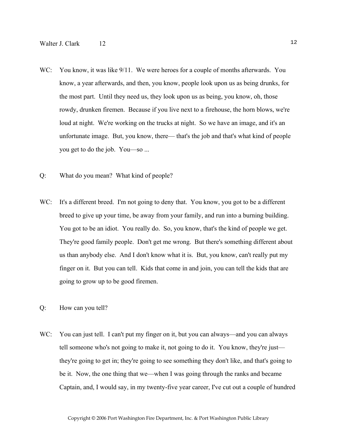- WC: You know, it was like  $9/11$ . We were heroes for a couple of months afterwards. You know, a year afterwards, and then, you know, people look upon us as being drunks, for the most part. Until they need us, they look upon us as being, you know, oh, those rowdy, drunken firemen. Because if you live next to a firehouse, the horn blows, we're loud at night. We're working on the trucks at night. So we have an image, and it's an unfortunate image. But, you know, there— that's the job and that's what kind of people you get to do the job. You—so ...
- Q: What do you mean? What kind of people?
- WC: It's a different breed. I'm not going to deny that. You know, you got to be a different breed to give up your time, be away from your family, and run into a burning building. You got to be an idiot. You really do. So, you know, that's the kind of people we get. They're good family people. Don't get me wrong. But there's something different about us than anybody else. And I don't know what it is. But, you know, can't really put my finger on it. But you can tell. Kids that come in and join, you can tell the kids that are going to grow up to be good firemen.
- Q: How can you tell?
- WC: You can just tell. I can't put my finger on it, but you can always—and you can always tell someone who's not going to make it, not going to do it. You know, they're just they're going to get in; they're going to see something they don't like, and that's going to be it. Now, the one thing that we—when I was going through the ranks and became Captain, and, I would say, in my twenty-five year career, I've cut out a couple of hundred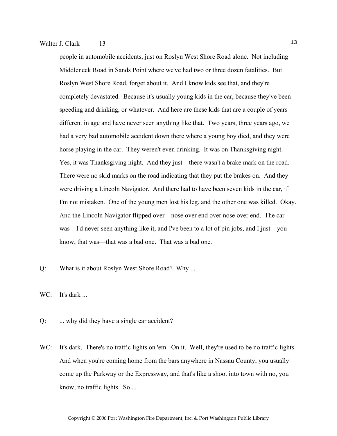people in automobile accidents, just on Roslyn West Shore Road alone. Not including Middleneck Road in Sands Point where we've had two or three dozen fatalities. But Roslyn West Shore Road, forget about it. And I know kids see that, and they're completely devastated. Because it's usually young kids in the car, because they've been speeding and drinking, or whatever. And here are these kids that are a couple of years different in age and have never seen anything like that. Two years, three years ago, we had a very bad automobile accident down there where a young boy died, and they were horse playing in the car. They weren't even drinking. It was on Thanksgiving night. Yes, it was Thanksgiving night. And they just—there wasn't a brake mark on the road. There were no skid marks on the road indicating that they put the brakes on. And they were driving a Lincoln Navigator. And there had to have been seven kids in the car, if I'm not mistaken. One of the young men lost his leg, and the other one was killed. Okay. And the Lincoln Navigator flipped over—nose over end over nose over end. The car was—I'd never seen anything like it, and I've been to a lot of pin jobs, and I just—you know, that was—that was a bad one. That was a bad one.

Q: What is it about Roslyn West Shore Road? Why ...

WC: It's dark ...

- Q: ... why did they have a single car accident?
- WC: It's dark. There's no traffic lights on 'em. On it. Well, they're used to be no traffic lights. And when you're coming home from the bars anywhere in Nassau County, you usually come up the Parkway or the Expressway, and that's like a shoot into town with no, you know, no traffic lights. So ...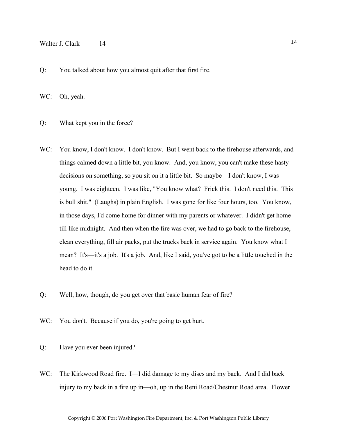#### Walter J. Clark 14 14

Q: You talked about how you almost quit after that first fire.

WC: Oh, yeah.

Q: What kept you in the force?

- WC: You know, I don't know. I don't know. But I went back to the firehouse afterwards, and things calmed down a little bit, you know. And, you know, you can't make these hasty decisions on something, so you sit on it a little bit. So maybe—I don't know, I was young. I was eighteen. I was like, "You know what? Frick this. I don't need this. This is bull shit." (Laughs) in plain English. I was gone for like four hours, too. You know, in those days, I'd come home for dinner with my parents or whatever. I didn't get home till like midnight. And then when the fire was over, we had to go back to the firehouse, clean everything, fill air packs, put the trucks back in service again. You know what I mean? It's—it's a job. It's a job. And, like I said, you've got to be a little touched in the head to do it.
- Q: Well, how, though, do you get over that basic human fear of fire?
- WC: You don't. Because if you do, you're going to get hurt.
- Q: Have you ever been injured?
- WC: The Kirkwood Road fire. I—I did damage to my discs and my back. And I did back injury to my back in a fire up in—oh, up in the Reni Road/Chestnut Road area. Flower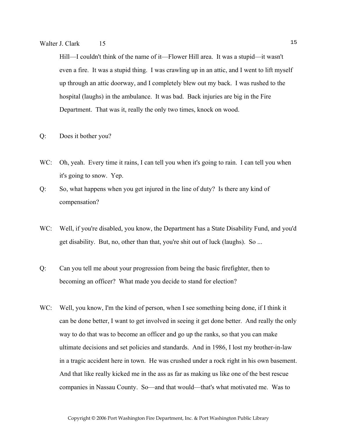## Walter J. Clark 15 15

Hill—I couldn't think of the name of it—Flower Hill area. It was a stupid—it wasn't even a fire. It was a stupid thing. I was crawling up in an attic, and I went to lift myself up through an attic doorway, and I completely blew out my back. I was rushed to the hospital (laughs) in the ambulance. It was bad. Back injuries are big in the Fire Department. That was it, really the only two times, knock on wood.

#### Q: Does it bother you?

- WC: Oh, yeah. Every time it rains, I can tell you when it's going to rain. I can tell you when it's going to snow. Yep.
- Q: So, what happens when you get injured in the line of duty? Is there any kind of compensation?
- WC: Well, if you're disabled, you know, the Department has a State Disability Fund, and you'd get disability. But, no, other than that, you're shit out of luck (laughs). So ...
- Q: Can you tell me about your progression from being the basic firefighter, then to becoming an officer? What made you decide to stand for election?
- WC: Well, you know, I'm the kind of person, when I see something being done, if I think it can be done better, I want to get involved in seeing it get done better. And really the only way to do that was to become an officer and go up the ranks, so that you can make ultimate decisions and set policies and standards. And in 1986, I lost my brother-in-law in a tragic accident here in town. He was crushed under a rock right in his own basement. And that like really kicked me in the ass as far as making us like one of the best rescue companies in Nassau County. So—and that would—that's what motivated me. Was to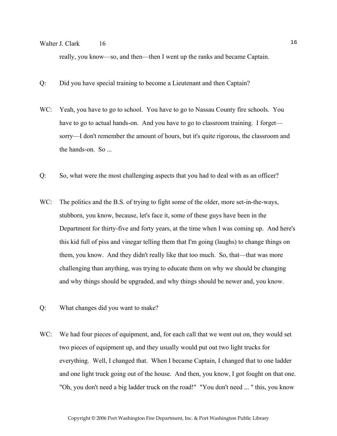## Walter J. Clark 16 16

really, you know—so, and then—then I went up the ranks and became Captain.

- Q: Did you have special training to become a Lieutenant and then Captain?
- WC: Yeah, you have to go to school. You have to go to Nassau County fire schools. You have to go to actual hands-on. And you have to go to classroom training. I forget sorry—I don't remember the amount of hours, but it's quite rigorous, the classroom and the hands-on. So ...
- Q: So, what were the most challenging aspects that you had to deal with as an officer?
- WC: The politics and the B.S. of trying to fight some of the older, more set-in-the-ways, stubborn, you know, because, let's face it, some of these guys have been in the Department for thirty-five and forty years, at the time when I was coming up. And here's this kid full of piss and vinegar telling them that I'm going (laughs) to change things on them, you know. And they didn't really like that too much. So, that—that was more challenging than anything, was trying to educate them on why we should be changing and why things should be upgraded, and why things should be newer and, you know.
- Q: What changes did you want to make?
- WC: We had four pieces of equipment, and, for each call that we went out on, they would set two pieces of equipment up, and they usually would put out two light trucks for everything. Well, I changed that. When I became Captain, I changed that to one ladder and one light truck going out of the house. And then, you know, I got fought on that one. "Oh, you don't need a big ladder truck on the road!" "You don't need ... " this, you know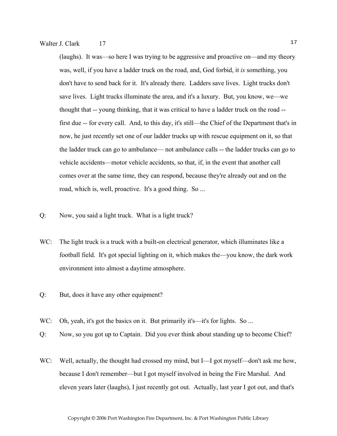(laughs). It was—so here I was trying to be aggressive and proactive on—and my theory was, well, if you have a ladder truck on the road, and, God forbid, it *is* something, you don't have to send back for it. It's already there. Ladders save lives. Light trucks don't save lives. Light trucks illuminate the area, and it's a luxury. But, you know, we—we thought that -- young thinking, that it was critical to have a ladder truck on the road - first due -- for every call. And, to this day, it's still—the Chief of the Department that's in now, he just recently set one of our ladder trucks up with rescue equipment on it, so that the ladder truck can go to ambulance— not ambulance calls -- the ladder trucks can go to vehicle accidents—motor vehicle accidents, so that, if, in the event that another call comes over at the same time, they can respond, because they're already out and on the road, which is, well, proactive. It's a good thing. So ...

- Q: Now, you said a light truck. What is a light truck?
- WC: The light truck is a truck with a built-on electrical generator, which illuminates like a football field. It's got special lighting on it, which makes the—you know, the dark work environment into almost a daytime atmosphere.
- Q: But, does it have any other equipment?
- WC: Oh, yeah, it's got the basics on it. But primarily it's—it's for lights. So ...
- Q: Now, so you got up to Captain. Did you ever think about standing up to become Chief?
- WC: Well, actually, the thought had crossed my mind, but I—I got myself—don't ask me how, because I don't remember—but I got myself involved in being the Fire Marshal. And eleven years later (laughs), I just recently got out. Actually, last year I got out, and that's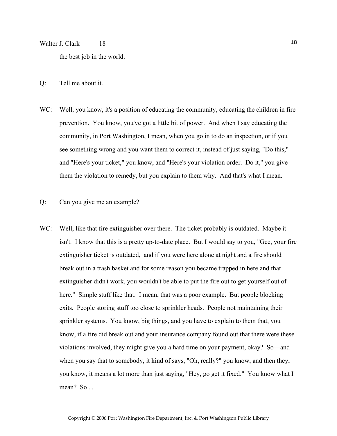## Walter J. Clark 18 18

the best job in the world.

- Q: Tell me about it.
- WC: Well, you know, it's a position of educating the community, educating the children in fire prevention. You know, you've got a little bit of power. And when I say educating the community, in Port Washington, I mean, when you go in to do an inspection, or if you see something wrong and you want them to correct it, instead of just saying, "Do this," and "Here's your ticket," you know, and "Here's your violation order. Do it," you give them the violation to remedy, but you explain to them why. And that's what I mean.
- Q: Can you give me an example?
- WC: Well, like that fire extinguisher over there. The ticket probably is outdated. Maybe it isn't. I know that this is a pretty up-to-date place. But I would say to you, "Gee, your fire extinguisher ticket is outdated, and if you were here alone at night and a fire should break out in a trash basket and for some reason you became trapped in here and that extinguisher didn't work, you wouldn't be able to put the fire out to get yourself out of here." Simple stuff like that. I mean, that was a poor example. But people blocking exits. People storing stuff too close to sprinkler heads. People not maintaining their sprinkler systems. You know, big things, and you have to explain to them that, you know, if a fire did break out and your insurance company found out that there were these violations involved, they might give you a hard time on your payment, okay? So—and when you say that to somebody, it kind of says, "Oh, really?" you know, and then they, you know, it means a lot more than just saying, "Hey, go get it fixed." You know what I mean? So ...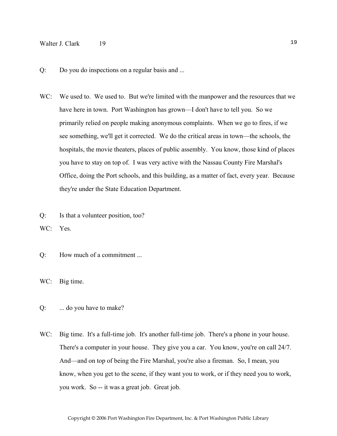## Walter J. Clark 19 19

- Q: Do you do inspections on a regular basis and ...
- WC: We used to. We used to. But we're limited with the manpower and the resources that we have here in town. Port Washington has grown—I don't have to tell you. So we primarily relied on people making anonymous complaints. When we go to fires, if we see something, we'll get it corrected. We do the critical areas in town—the schools, the hospitals, the movie theaters, places of public assembly. You know, those kind of places you have to stay on top of. I was very active with the Nassau County Fire Marshal's Office, doing the Port schools, and this building, as a matter of fact, every year. Because they're under the State Education Department.
- Q: Is that a volunteer position, too?
- WC: Yes.
- Q: How much of a commitment ...

WC: Big time.

- Q: ... do you have to make?
- WC: Big time. It's a full-time job. It's another full-time job. There's a phone in your house. There's a computer in your house. They give you a car. You know, you're on call 24/7. And—and on top of being the Fire Marshal, you're also a fireman. So, I mean, you know, when you get to the scene, if they want you to work, or if they need you to work, you work. So -- it was a great job. Great job.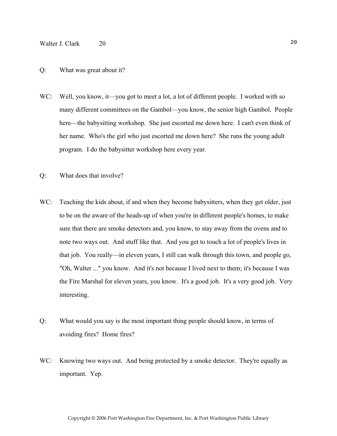## Walter J. Clark 20 20

#### Q: What was great about it?

- WC: Well, you know, it—you got to meet a lot, a lot of different people. I worked with so many different committees on the Gambol—you know, the senior high Gambol. People here—the babysitting workshop. She just escorted me down here. I can't even think of her name. Who's the girl who just escorted me down here? She runs the young adult program. I do the babysitter workshop here every year.
- Q: What does that involve?
- WC: Teaching the kids about, if and when they become babysitters, when they get older, just to be on the aware of the heads-up of when you're in different people's homes, to make sure that there are smoke detectors and, you know, to stay away from the ovens and to note two ways out. And stuff like that. And you get to touch a lot of people's lives in that job. You really—in eleven years, I still can walk through this town, and people go, "Oh, Walter ..." you know. And it's not because I lived next to them; it's because I was the Fire Marshal for eleven years, you know. It's a good job. It's a very good job. Very interesting.
- Q: What would you say is the most important thing people should know, in terms of avoiding fires? Home fires?
- WC: Knowing two ways out. And being protected by a smoke detector. They're equally as important. Yep.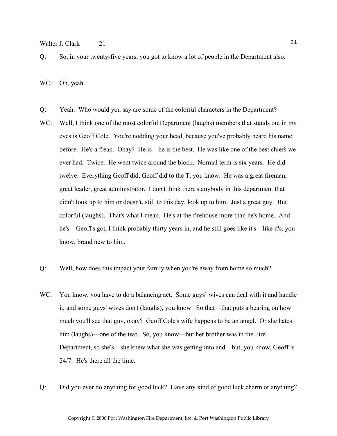Walter J. Clark 21 21

Q: So, in your twenty-five years, you got to know a lot of people in the Department also.

WC: Oh, yeah.

- Q: Yeah. Who would you say are some of the colorful characters in the Department?
- WC: Well, I think one of the most colorful Department (laughs) members that stands out in my eyes is Geoff Cole. You're nodding your head, because you've probably heard his name before. He's a freak. Okay? He is—he is the best. He was like one of the best chiefs we ever had. Twice. He went twice around the block. Normal term is six years. He did twelve. Everything Geoff did, Geoff did to the T, you know. He was a great fireman, great leader, great administrator. I don't think there's anybody in this department that didn't look up to him or doesn't, still to this day, look up to him. Just a great guy. But colorful (laughs). That's what I mean. He's at the firehouse more than he's home. And he's—Geoff's got, I think probably thirty years in, and he still goes like it's—like it's, you know, brand new to him.
- Q: Well, how does this impact your family when you're away from home so much?
- WC: You know, you have to do a balancing act. Some guys' wives can deal with it and handle it, and some guys' wives don't (laughs), you know. So that—that puts a bearing on how much you'll see that guy, okay? Geoff Cole's wife happens to be an angel. Or she hates him (laughs)—one of the two. So, you know—but her brother was in the Fire Department, so she's—she knew what she was getting into and—but, you know, Geoff is 24/7. He's there all the time.
- Q: Did you ever do anything for good luck? Have any kind of good luck charm or anything?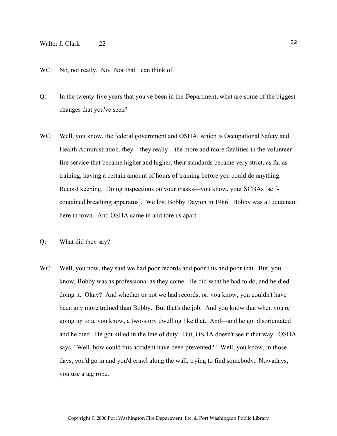## Walter J. Clark 22 22

#### WC: No, not really. No. Not that I can think of.

- Q: In the twenty-five years that you've been in the Department, what are some of the biggest changes that you've seen?
- WC: Well, you know, the federal government and OSHA, which is Occupational Safety and Health Administration, they—they really—the more and more fatalities in the volunteer fire service that became higher and higher, their standards became very strict, as far as training, having a certain amount of hours of training before you could do anything. Record keeping. Doing inspections on your masks—you know, your SCBAs [selfcontained breathing apparatus]. We lost Bobby Dayton in 1986. Bobby was a Lieutenant here in town. And OSHA came in and tore us apart.
- Q: What did they say?
- WC: Well, you now, they said we had poor records and poor this and poor that. But, you know, Bobby was as professional as they come. He did what he had to do, and he died doing it. Okay? And whether or not we had records, or, you know, you couldn't have been any more trained than Bobby. But that's the job. And you know that when you're going up to a, you know, a two-story dwelling like that. And—and he got disorientated and he died. He got killed in the line of duty. But, OSHA doesn't see it that way. OSHA says, "Well, how could this accident have been prevented?" Well, you know, in those days, you'd go in and you'd crawl along the wall, trying to find somebody. Nowadays, you use a tag rope.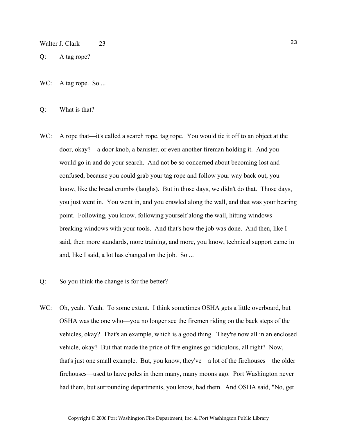#### Walter J. Clark 23

- Q: A tag rope?
- WC: A tag rope. So ...

#### Q: What is that?

WC: A rope that—it's called a search rope, tag rope. You would tie it off to an object at the door, okay?—a door knob, a banister, or even another fireman holding it. And you would go in and do your search. And not be so concerned about becoming lost and confused, because you could grab your tag rope and follow your way back out, you know, like the bread crumbs (laughs). But in those days, we didn't do that. Those days, you just went in. You went in, and you crawled along the wall, and that was your bearing point. Following, you know, following yourself along the wall, hitting windows breaking windows with your tools. And that's how the job was done. And then, like I said, then more standards, more training, and more, you know, technical support came in and, like I said, a lot has changed on the job. So ...

#### Q: So you think the change is for the better?

WC: Oh, yeah. Yeah. To some extent. I think sometimes OSHA gets a little overboard, but OSHA was the one who—you no longer see the firemen riding on the back steps of the vehicles, okay? That's an example, which is a good thing. They're now all in an enclosed vehicle, okay? But that made the price of fire engines go ridiculous, all right? Now, that's just one small example. But, you know, they've—a lot of the firehouses—the older firehouses—used to have poles in them many, many moons ago. Port Washington never had them, but surrounding departments, you know, had them. And OSHA said, "No, get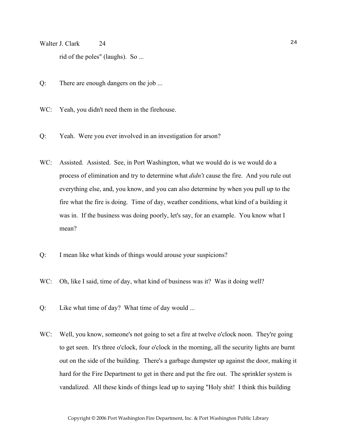Walter J. Clark 24 24 rid of the poles" (laughs). So ...

- Q: There are enough dangers on the job ...
- WC: Yeah, you didn't need them in the firehouse.
- Q: Yeah. Were you ever involved in an investigation for arson?
- WC: Assisted. Assisted. See, in Port Washington, what we would do is we would do a process of elimination and try to determine what *didn't* cause the fire. And you rule out everything else, and, you know, and you can also determine by when you pull up to the fire what the fire is doing. Time of day, weather conditions, what kind of a building it was in. If the business was doing poorly, let's say, for an example. You know what I mean?
- Q: I mean like what kinds of things would arouse your suspicions?
- WC: Oh, like I said, time of day, what kind of business was it? Was it doing well?
- Q: Like what time of day? What time of day would ...
- WC: Well, you know, someone's not going to set a fire at twelve o'clock noon. They're going to get seen. It's three o'clock, four o'clock in the morning, all the security lights are burnt out on the side of the building. There's a garbage dumpster up against the door, making it hard for the Fire Department to get in there and put the fire out. The sprinkler system is vandalized. All these kinds of things lead up to saying "Holy shit! I think this building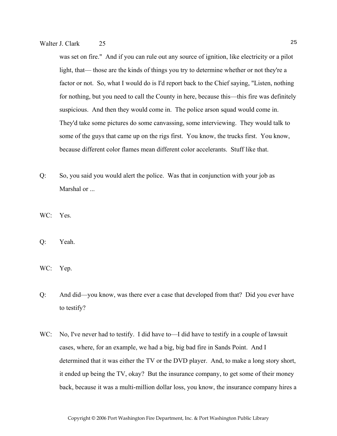was set on fire." And if you can rule out any source of ignition, like electricity or a pilot light, that— those are the kinds of things you try to determine whether or not they're a factor or not. So, what I would do is I'd report back to the Chief saying, "Listen, nothing for nothing, but you need to call the County in here, because this—this fire was definitely suspicious. And then they would come in. The police arson squad would come in. They'd take some pictures do some canvassing, some interviewing. They would talk to some of the guys that came up on the rigs first. You know, the trucks first. You know, because different color flames mean different color accelerants. Stuff like that.

- Q: So, you said you would alert the police. Was that in conjunction with your job as Marshal or ...
- WC: Yes.
- Q: Yeah.
- WC: Yep.
- Q: And did—you know, was there ever a case that developed from that? Did you ever have to testify?
- WC: No, I've never had to testify. I did have to—I did have to testify in a couple of lawsuit cases, where, for an example, we had a big, big bad fire in Sands Point. And I determined that it was either the TV or the DVD player. And, to make a long story short, it ended up being the TV, okay? But the insurance company, to get some of their money back, because it was a multi-million dollar loss, you know, the insurance company hires a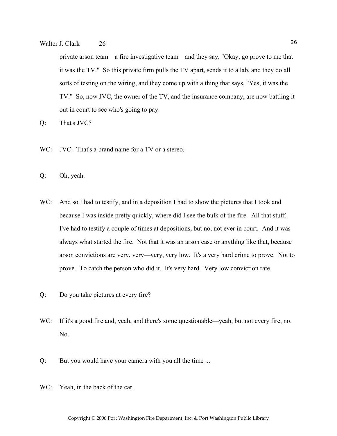## Walter J. Clark 26 26

private arson team—a fire investigative team—and they say, "Okay, go prove to me that it was the TV." So this private firm pulls the TV apart, sends it to a lab, and they do all sorts of testing on the wiring, and they come up with a thing that says, "Yes, it was the TV." So, now JVC, the owner of the TV, and the insurance company, are now battling it out in court to see who's going to pay.

Q: That's JVC?

- WC: JVC. That's a brand name for a TV or a stereo.
- Q: Oh, yeah.
- WC: And so I had to testify, and in a deposition I had to show the pictures that I took and because I was inside pretty quickly, where did I see the bulk of the fire. All that stuff. I've had to testify a couple of times at depositions, but no, not ever in court. And it was always what started the fire. Not that it was an arson case or anything like that, because arson convictions are very, very—very, very low. It's a very hard crime to prove. Not to prove. To catch the person who did it. It's very hard. Very low conviction rate.
- Q: Do you take pictures at every fire?
- WC: If it's a good fire and, yeah, and there's some questionable—yeah, but not every fire, no. No.
- Q: But you would have your camera with you all the time ...
- WC: Yeah, in the back of the car.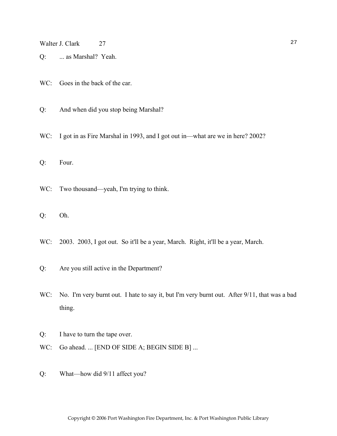Walter J. Clark 27 27

- Q: ... as Marshal? Yeah.
- WC: Goes in the back of the car.
- Q: And when did you stop being Marshal?
- WC: I got in as Fire Marshal in 1993, and I got out in—what are we in here? 2002?
- Q: Four.
- WC: Two thousand—yeah, I'm trying to think.
- Q: Oh.
- WC: 2003. 2003, I got out. So it'll be a year, March. Right, it'll be a year, March.
- Q: Are you still active in the Department?
- WC: No. I'm very burnt out. I hate to say it, but I'm very burnt out. After 9/11, that was a bad thing.
- Q: I have to turn the tape over.
- WC: Go ahead. ... [END OF SIDE A; BEGIN SIDE B] ...
- Q: What—how did 9/11 affect you?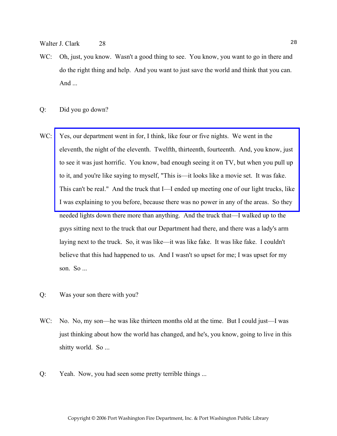Walter J. Clark 28 28

- WC: Oh, just, you know. Wasn't a good thing to see. You know, you want to go in there and do the right thing and help. And you want to just save the world and think that you can. And ...
- Q: Did you go down?
- WC: Yes, our department went in for, I think, like four or five nights. We went in the eleventh, the night of the eleventh. Twelfth, thirteenth, fourteenth. And, you know, just to see it was just horrific. You know, bad enough seeing it on TV, but when you pull up to it, and you're like saying to myself, "This is—it looks like a movie set. It was fake. [This can't be real." And the truck that I—I ended up meeting one of our light trucks, like](http://www.pwfdhistory.com/trans/clarkw_trans/pwfd_911008.jpg)  I was explaining to you before, because there was no power in any of the areas. So they needed lights down there more than anything. And the truck that—I walked up to the guys sitting next to the truck that our Department had there, and there was a lady's arm laying next to the truck. So, it was like—it was like fake. It was like fake. I couldn't believe that this had happened to us. And I wasn't so upset for me; I was upset for my son. So ...
- Q: Was your son there with you?
- WC: No. No, my son—he was like thirteen months old at the time. But I could just—I was just thinking about how the world has changed, and he's, you know, going to live in this shitty world. So ...
- Q: Yeah. Now, you had seen some pretty terrible things ...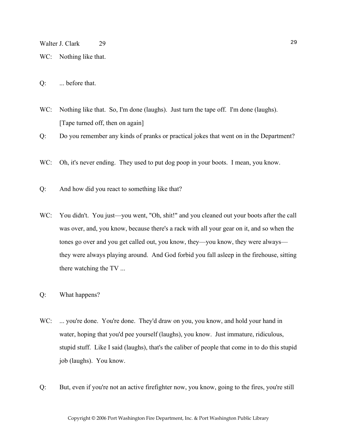WC: Nothing like that.

Q: ... before that.

WC: Nothing like that. So, I'm done (laughs). Just turn the tape off. I'm done (laughs). [Tape turned off, then on again]

Q: Do you remember any kinds of pranks or practical jokes that went on in the Department?

- WC: Oh, it's never ending. They used to put dog poop in your boots. I mean, you know.
- Q: And how did you react to something like that?
- WC: You didn't. You just—you went, "Oh, shit!" and you cleaned out your boots after the call was over, and, you know, because there's a rack with all your gear on it, and so when the tones go over and you get called out, you know, they—you know, they were always they were always playing around. And God forbid you fall asleep in the firehouse, sitting there watching the TV ...
- Q: What happens?
- WC: ... you're done. You're done. They'd draw on you, you know, and hold your hand in water, hoping that you'd pee yourself (laughs), you know. Just immature, ridiculous, stupid stuff. Like I said (laughs), that's the caliber of people that come in to do this stupid job (laughs). You know.
- Q: But, even if you're not an active firefighter now, you know, going to the fires, you're still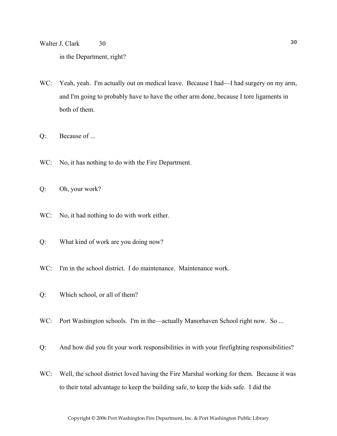Walter J. Clark 30 30 in the Department, right?

- WC: Yeah, yeah. I'm actually out on medical leave. Because I had—I had surgery on my arm, and I'm going to probably have to have the other arm done, because I tore ligaments in both of them.
- Q: Because of ...
- WC: No, it has nothing to do with the Fire Department.
- Q: Oh, your work?
- WC: No, it had nothing to do with work either.
- Q: What kind of work are you doing now?
- WC: I'm in the school district. I do maintenance. Maintenance work.
- Q: Which school, or all of them?
- WC: Port Washington schools. I'm in the—actually Manorhaven School right now. So ...
- Q: And how did you fit your work responsibilities in with your firefighting responsibilities?
- WC: Well, the school district loved having the Fire Marshal working for them. Because it was to their total advantage to keep the building safe, to keep the kids safe. I did the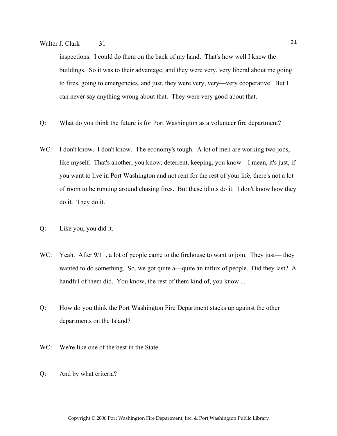## Walter J. Clark 31 31

inspections. I could do them on the back of my hand. That's how well I knew the buildings. So it was to their advantage, and they were very, very liberal about me going to fires, going to emergencies, and just, they were very, very—very cooperative. But I can never say anything wrong about that. They were very good about that.

- Q: What do you think the future is for Port Washington as a volunteer fire department?
- WC: I don't know. I don't know. The economy's tough. A lot of men are working two jobs, like myself. That's another, you know, deterrent, keeping, you know—I mean, it's just, if you want to live in Port Washington and not rent for the rest of your life, there's not a lot of room to be running around chasing fires. But these idiots do it. I don't know how they do it. They do it.
- Q: Like you, you did it.
- WC: Yeah. After 9/11, a lot of people came to the firehouse to want to join. They just—they wanted to do something. So, we got quite a—quite an influx of people. Did they last? A handful of them did. You know, the rest of them kind of, you know ...
- Q: How do you think the Port Washington Fire Department stacks up against the other departments on the Island?
- WC: We're like one of the best in the State.
- Q: And by what criteria?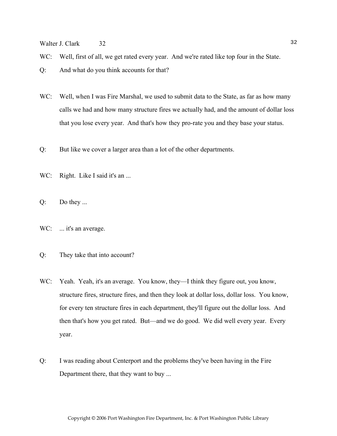Walter J. Clark 32 32

WC: Well, first of all, we get rated every year. And we're rated like top four in the State.

- WC: Well, when I was Fire Marshal, we used to submit data to the State, as far as how many calls we had and how many structure fires we actually had, and the amount of dollar loss that you lose every year. And that's how they pro-rate you and they base your status.
- Q: But like we cover a larger area than a lot of the other departments.
- WC: Right. Like I said it's an ...
- Q: Do they ...
- WC: ... it's an average.
- Q: They take that into account?
- WC: Yeah. Yeah, it's an average. You know, they—I think they figure out, you know, structure fires, structure fires, and then they look at dollar loss, dollar loss. You know, for every ten structure fires in each department, they'll figure out the dollar loss. And then that's how you get rated. But—and we do good. We did well every year. Every year.
- Q: I was reading about Centerport and the problems they've been having in the Fire Department there, that they want to buy ...

Q: And what do you think accounts for that?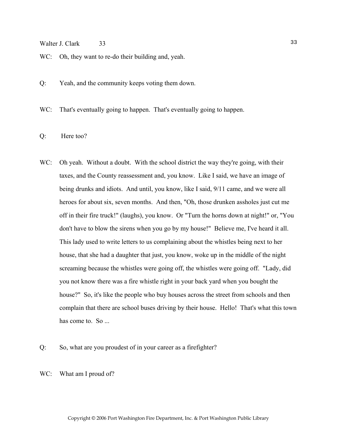#### Walter J. Clark 33

WC: Oh, they want to re-do their building and, yeah.

Q: Yeah, and the community keeps voting them down.

WC: That's eventually going to happen. That's eventually going to happen.

Q: Here too?

- WC: Oh yeah. Without a doubt. With the school district the way they're going, with their taxes, and the County reassessment and, you know. Like I said, we have an image of being drunks and idiots. And until, you know, like I said, 9/11 came, and we were all heroes for about six, seven months. And then, "Oh, those drunken assholes just cut me off in their fire truck!" (laughs), you know. Or "Turn the horns down at night!" or, "You don't have to blow the sirens when you go by my house!" Believe me, I've heard it all. This lady used to write letters to us complaining about the whistles being next to her house, that she had a daughter that just, you know, woke up in the middle of the night screaming because the whistles were going off, the whistles were going off. "Lady, did you not know there was a fire whistle right in your back yard when you bought the house?" So, it's like the people who buy houses across the street from schools and then complain that there are school buses driving by their house. Hello! That's what this town has come to. So ...
- Q: So, what are you proudest of in your career as a firefighter?
- WC: What am I proud of?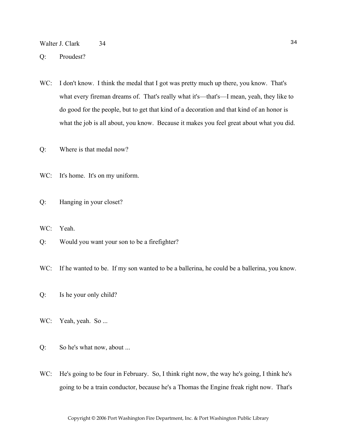Walter J. Clark 34 34

Q: Proudest?

WC: I don't know. I think the medal that I got was pretty much up there, you know. That's what every fireman dreams of. That's really what it's—that's—I mean, yeah, they like to do good for the people, but to get that kind of a decoration and that kind of an honor is what the job is all about, you know. Because it makes you feel great about what you did.

Q: Where is that medal now?

WC: It's home. It's on my uniform.

- Q: Hanging in your closet?
- WC: Yeah.
- Q: Would you want your son to be a firefighter?
- WC: If he wanted to be. If my son wanted to be a ballerina, he could be a ballerina, you know.
- Q: Is he your only child?
- WC: Yeah, yeah. So ...
- Q: So he's what now, about ...
- WC: He's going to be four in February. So, I think right now, the way he's going, I think he's going to be a train conductor, because he's a Thomas the Engine freak right now. That's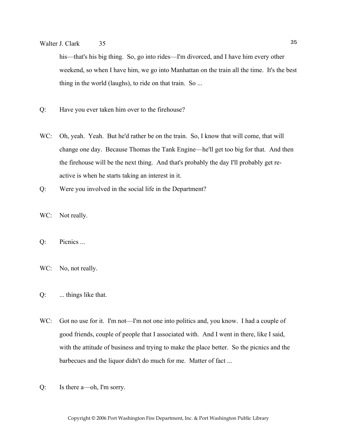## Walter J. Clark 35 35

his—that's his big thing. So, go into rides—I'm divorced, and I have him every other weekend, so when I have him, we go into Manhattan on the train all the time. It's the best thing in the world (laughs), to ride on that train. So ...

- Q: Have you ever taken him over to the firehouse?
- WC: Oh, yeah. Yeah. But he'd rather be on the train. So, I know that will come, that will change one day. Because Thomas the Tank Engine—he'll get too big for that. And then the firehouse will be the next thing. And that's probably the day I'll probably get reactive is when he starts taking an interest in it.
- Q: Were you involved in the social life in the Department?
- WC: Not really.
- Q: Picnics ...
- WC: No, not really.
- Q: ... things like that.
- WC: Got no use for it. I'm not—I'm not one into politics and, you know. I had a couple of good friends, couple of people that I associated with. And I went in there, like I said, with the attitude of business and trying to make the place better. So the picnics and the barbecues and the liquor didn't do much for me. Matter of fact ...
- Q: Is there a—oh, I'm sorry.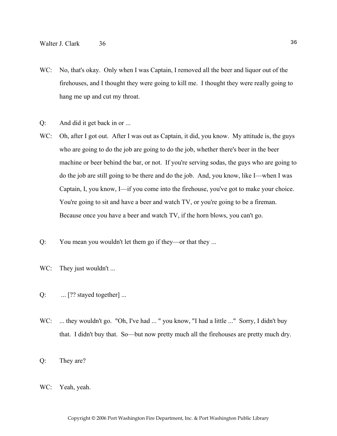- WC: No, that's okay. Only when I was Captain, I removed all the beer and liquor out of the firehouses, and I thought they were going to kill me. I thought they were really going to hang me up and cut my throat.
- Q: And did it get back in or ...
- WC: Oh, after I got out. After I was out as Captain, it did, you know. My attitude is, the guys who are going to do the job are going to do the job, whether there's beer in the beer machine or beer behind the bar, or not. If you're serving sodas, the guys who are going to do the job are still going to be there and do the job. And, you know, like I—when I was Captain, I, you know, I—if you come into the firehouse, you've got to make your choice. You're going to sit and have a beer and watch TV, or you're going to be a fireman. Because once you have a beer and watch TV, if the horn blows, you can't go.
- Q: You mean you wouldn't let them go if they—or that they ...
- WC: They just wouldn't ...
- Q:  $\ldots$  [?? stayed together]  $\ldots$
- WC: ... they wouldn't go. "Oh, I've had ..." you know, "I had a little ..." Sorry, I didn't buy that. I didn't buy that. So—but now pretty much all the firehouses are pretty much dry.
- Q: They are?
- WC: Yeah, yeah.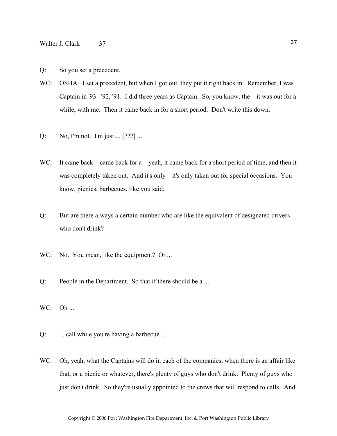- WC: OSHA. I set a precedent, but when I got out, they put it right back in. Remember, I was Captain in '93. '92, '91. I did three years as Captain. So, you know, the—it was out for a while, with me. Then it came back in for a short period. Don't write this down.
- Q: No, I'm not. I'm just ... [???] ...
- WC: It came back—came back for a—yeah, it came back for a short period of time, and then it was completely taken out. And it's only—it's only taken out for special occasions. You know, picnics, barbecues, like you said.
- Q: But are there always a certain number who are like the equivalent of designated drivers who don't drink?
- WC: No. You mean, like the equipment? Or ...
- Q: People in the Department. So that if there should be a ...
- $WC: Oh...$
- Q: ... call while you're having a barbecue ...
- WC: Oh, yeah, what the Captains will do in each of the companies, when there is an affair like that, or a picnic or whatever, there's plenty of guys who don't drink. Plenty of guys who just don't drink. So they're usually appointed to the crews that will respond to calls. And